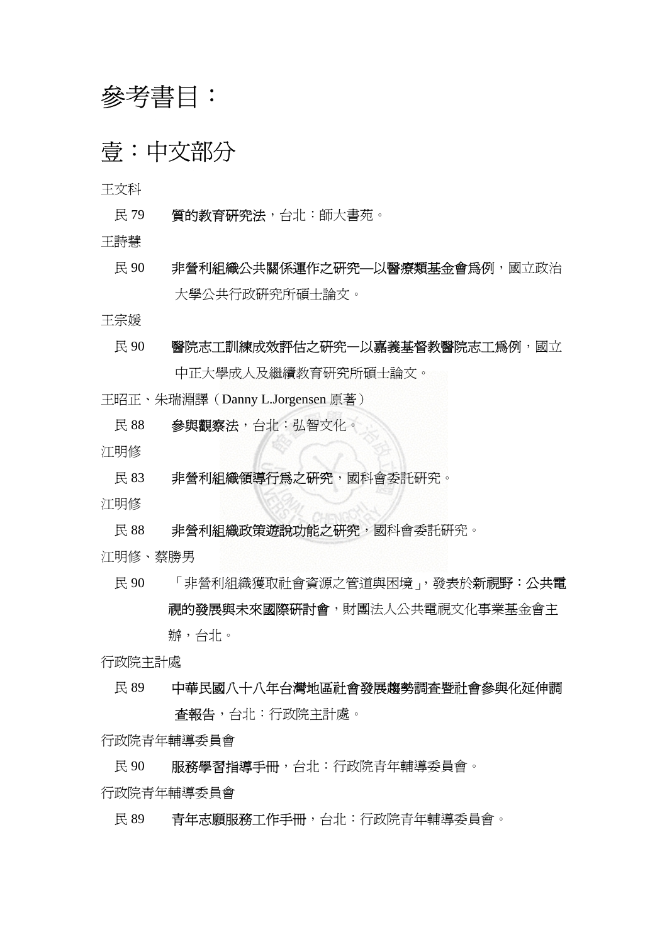# 參考書目:

## 壹:中文部分

王文科

- 民 79 實的教育研究法,台北:師大書苑。
- 王詩慧
	- 民 90 非營利組織公共關係運作之研究**—**以醫療類基金會為例,國立政治 大學公共行政研究所碩士論文。

王宗媛

- 民 90 醫院志工訓練成效評估之研究一以嘉義基督教醫院志工爲例,國立 中正大學成人及繼續教育研究所碩士論文。
- 王昭正、朱瑞淵譯(Danny L.Jorgensen 原著)
	- 民 88 參與觀察法,台北:弘智文化。
- 江明修
	- 民 83 非營利組織領導行為之研究,國科會委託研究。
- 江明修
	- 民 88 非營利組織政策遊說功能之研究,國科會委託研究。
- 江明修、蔡勝男
	- 民 90 「非營利組織獲取社會資源之管道與困境」,發表於新視野:公共電 視的發展與未來國際研討會,財團法人公共電視文化事業基金會主 辦,台北。

行政院主計處

 民 89 中華民國八十八年台灣地區社會發展趨勢調查暨社會參與化延伸調 查報告,台北:行政院主計處。

行政院青年輔導委員會

民 90 服務學習指導手冊,台北:行政院青年輔導委員會。

行政院青年輔導委員會

民 89 青年志願服務工作手冊,台北:行政院青年輔導委員會。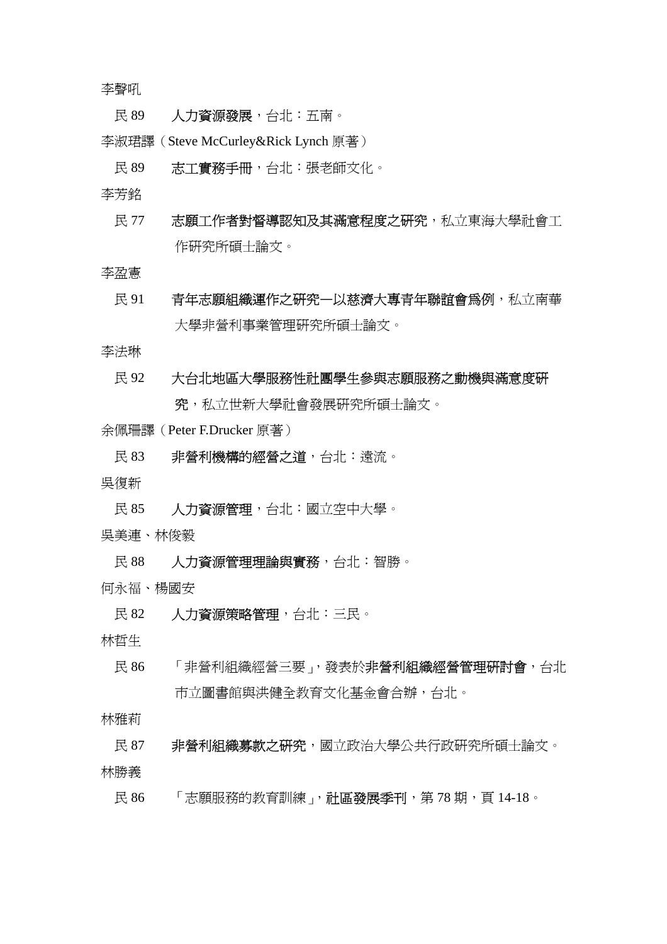李聲吼

- 民 89 人力資源發展,台北:五南。
- 李淑珺譯(Steve McCurley&Rick Lynch 原著)
	- 民 89 志工實務手冊,台北:張老師文化。

李芳銘

民 77 末願工作者對督導認知及其滿意程度之研究,私立東海大學社會工 作研究所碩士論文。

李盈憲

 民 91 青年志願組織運作之研究—以慈濟大專青年聯誼會為例,私立南華 大學非營利事業管理研究所碩士論文。

李法琳

### 民 92 大台北地區大學服務性社團學生參與志願服務之動機與滿意度研

究,私立世新大學社會發展研究所碩士論文。

余佩珊譯(Peter F.Drucker 原著)

- 民 83 非營利機構的經營之道,台北:遠流。
- 吳復新
- 民 85 人力資源管理,台北:國立空中大學。
- 吳美連、林俊毅
- 民 88 人力資源管理理論與實務,台北:智勝。
- 何永福、楊國安
	- 民 82 人力資源策略管理,台北:三民。

林哲生

民 86 「非營利組織經營三要」,發表於非營利組織經營管理研討會,台北 市立圖書館與洪健全教育文化基金會合辦,台北。

林雅莉

- 民 87 非營利組織募款之研究,國立政治大學公共行政研究所碩士論文。 林勝義
	- 民 86 「志願服務的教育訓練」, 社區發展季刊, 第 78 期, 頁 14-18。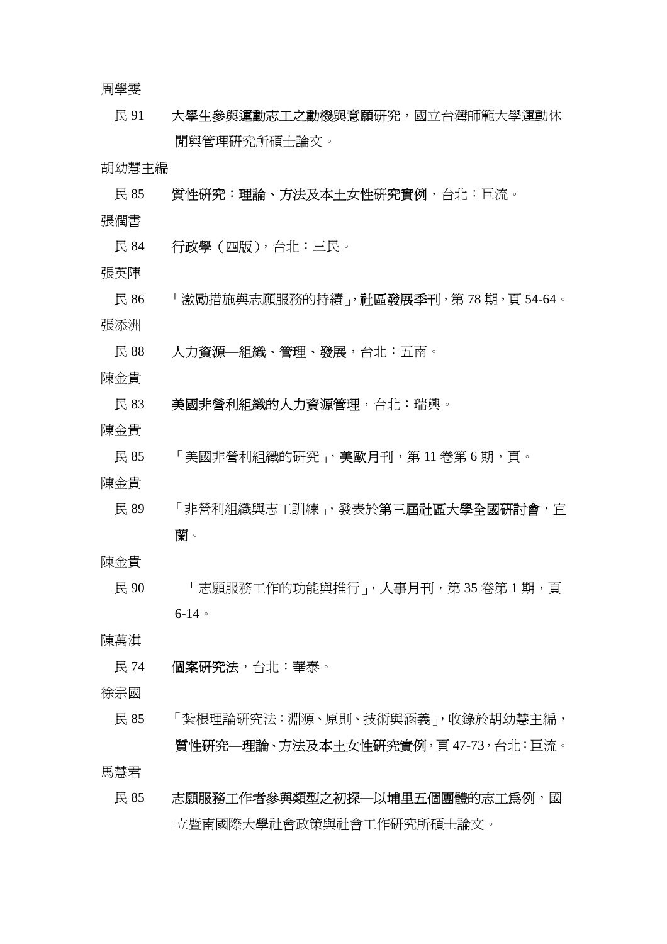周學雯

民 91 大學生參與運動志工之動機與意願研究,國立台灣師範大學運動休 閒與管理研究所碩士論文。

胡幼慧主編

- 民 85 营性研究:理論、方法及本十女性研究實例,台北:巨流。
- 張潤書
- 民 84 行政學(四版),台北:三民。
- 張英陣
- 民 86 「激勵措施與志願服務的持續」, **社區發展季刊**, 第 78 期, 頁 54-64。 張添洲
- 民 88 人力資源**—**組織、管理、發展,台北:五南。
- 陳金貴
	- 民 83 美國非營利組織的人力資源管理,台北:瑞興。
- 陳金貴
	- 民 85 「美國非營利組織的研究」,美歐月刊,第11 卷第 6 期, 百。
- 陳金貴
	- 民 89 「非營利組織與志工訓練」,發表於第三屆社區大學全國研討會,宜 蘭。
- 陳金貴
	- 民 90 「志願服務工作的功能與推行」,人事月刊,第 35 卷第 1 期,頁 6-14。

陳萬淇

民 74 個案研究法,台北:華泰。

徐宗國

 民 85 「紮根理論研究法:淵源、原則、技術與涵義」,收錄於胡幼慧主編, 質性研究**—**理論、方法及本土女性研究實例,頁 47-73,台北:巨流。

馬慧君

民 85 末願服務工作者參與類型之初探—以埔里五個團體的志工爲例,國 立暨南國際大學社會政策與社會工作研究所碩士論文。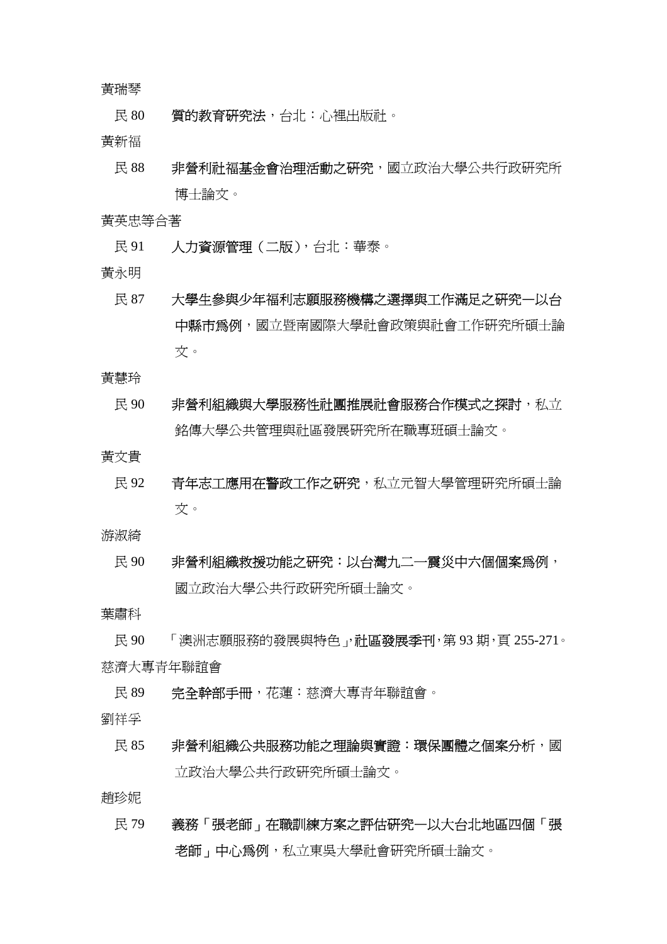#### 黃瑞琴

民 80 實的教育研究法,台北:心裡出版社。

黃新福

民 88 非營利社福基金會治理活動之研究,國立政治大學公共行政研究所 博士論文。

黃英忠等合著

- 民 91 人力資源管理 (二版), 台北: 華泰。
- 黃永明
	- 民 87 大學生參與少年福利志願服務機構之選擇與工作滿足之研究—以台 中縣市為例,國立暨南國際大學社會政策與社會工作研究所碩士論 文。
- 黃慧玲
	- 民 90 非營利組織與大學服務性社團推展社會服務合作模式之探討,私立 銘傳大學公共管理與社區發展研究所在職專班碩士論文。

黃文貴

民 92 青年志工應用在警政工作之研究,私立元智大學管理研究所碩士論 文。

游淑綺

民 90 非營利組織救援功能之研究:以台灣九二一震災中六個個案為例, 國立政治大學公共行政研究所碩士論文。

葉肅科

民 90 「澳洲志願服務的發展與特色」, **社區發展季刊**, 第 93 期, 頁 255-271。 慈濟大專青年聯誼會

- 民 89 完全幹部手冊, 花蓮: 慈濟大專青年聯誼會。
- 劉祥孚
	- 民 85 非營利組織公共服務功能之理論與實證:環保團體之個案分析,國 立政治大學公共行政研究所碩士論文。

趙珍妮

 民 79 義務「張老師」在職訓練方案之評估研究—以大台北地區四個「張 老師」中心為例,私立東吳大學社會研究所碩士論文。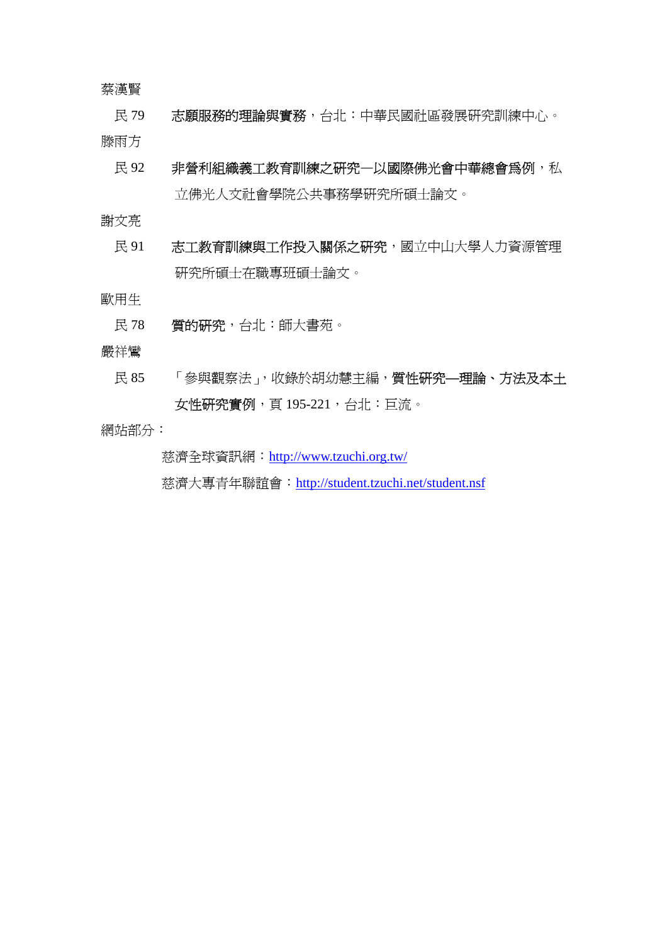蔡漢賢

民 79 志願服務的理論與實務,台北:中華民國社區發展研究訓練中心。

滕雨方

民 92 非營利組織義工教育訓練之研究一以國際佛光會中華總會爲例,私 立佛光人文社會學院公共事務學研究所碩士論文。

謝文亮

民 91 志工教育訓練與工作投入關係之研究,國立中山大學人力資源管理 研究所碩士在職專班碩士論文。

歐用生

- 民 78 實的研究,台北:師大書苑。
- 嚴祥鸞
	- 民 85 「參與觀察法」,收錄於胡幼慧主編,質性研究**—**理論、方法及本土 女性研究實例,頁195-221,台北:巨流。

網站部分:

慈濟全球資訊網:http://www.tzuchi.org.tw/

慈濟大專青年聯誼會:http://student.tzuchi.net/student.nsf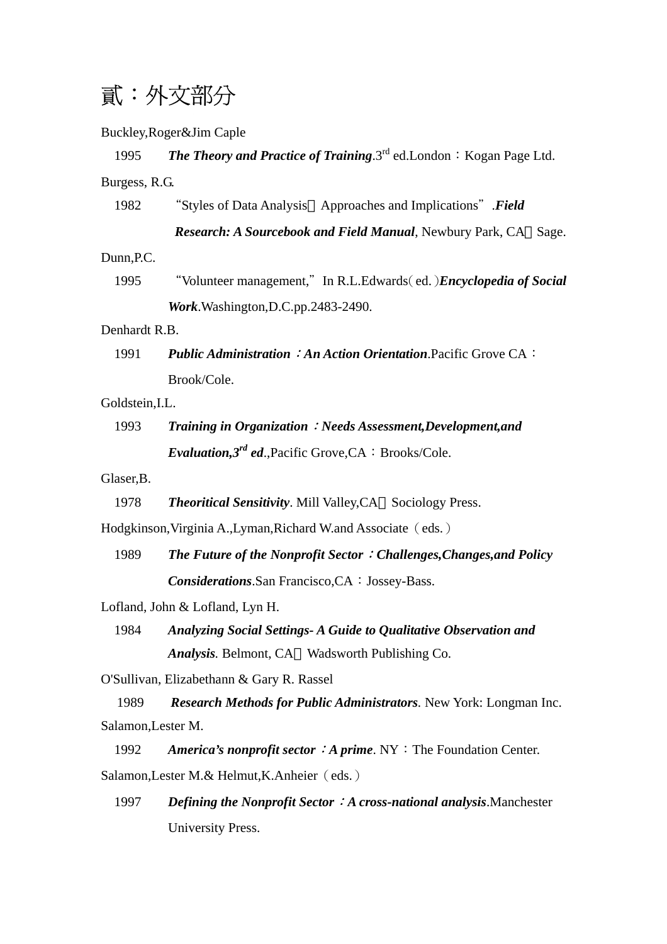## 貳:外文部分

Buckley,Roger&Jim Caple

### 1995 **The Theory and Practice of Training**.3<sup>rd</sup> ed.London: Kogan Page Ltd. Burgess, R.G. 1982 "Styles of Data Analysis Approaches and Implications".*Field Research: A Sourcebook and Field Manual*, Newbury Park, CA Sage. Dunn,P.C. 1995 "Volunteer management,"In R.L.Edwards(ed.)*Encyclopedia of Social Work*.Washington,D.C.pp.2483-2490. Denhardt R.B. 1991 *Public Administration*:*An Action Orientation*.Pacific Grove CA: Brook/Cole. Goldstein,I.L. 1993 *Training in Organization*:*Needs Assessment,Development,and Evaluation,3<sup>rd</sup> ed.*,Pacific Grove,CA: Brooks/Cole. Glaser,B. 1978 *Theoritical Sensitivity*. Mill Valley,CA Sociology Press. Hodgkinson, Virginia A., Lyman, Richard W. and Associate (eds.) 1989 *The Future of the Nonprofit Sector*:*Challenges,Changes,and Policy*

Lofland, John & Lofland, Lyn H.

1984 *Analyzing Social Settings- A Guide to Qualitative Observation and Analysis.* Belmont, CA Wadsworth Publishing Co.

**Considerations**.San Francisco,CA: Jossey-Bass.

O'Sullivan, Elizabethann & Gary R. Rassel

1989 *Research Methods for Public Administrators.* New York: Longman Inc. Salamon,Lester M.

1992 **America's nonprofit sector**: **A prime**. NY: The Foundation Center.

Salamon, Lester M.& Helmut, K.Anheier (eds.)

 1997 *Defining the Nonprofit Sector*:*A cross-national analysis*.Manchester University Press.